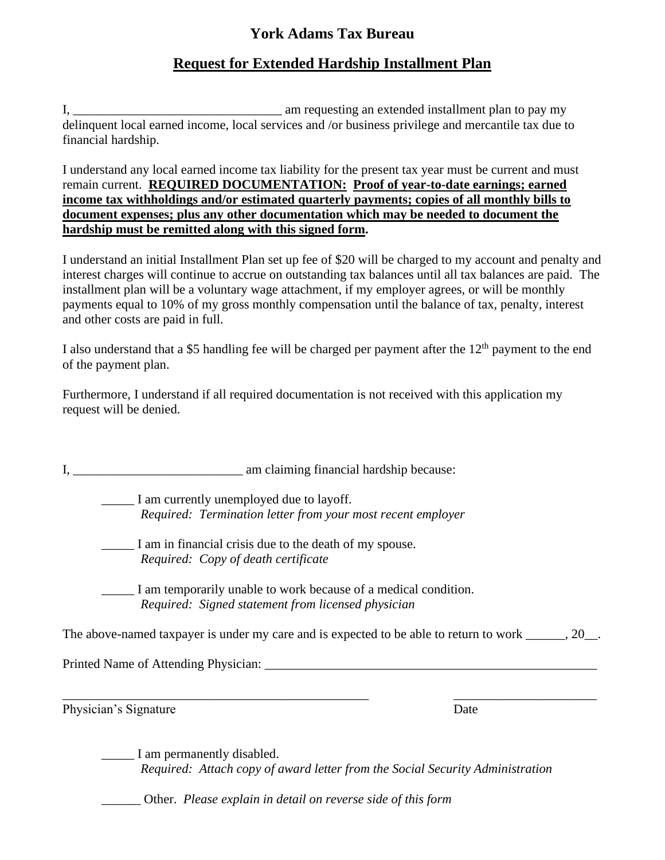## **York Adams Tax Bureau**

## **Request for Extended Hardship Installment Plan**

I, \_\_\_\_\_\_\_\_\_\_\_\_\_\_\_\_\_\_\_\_\_\_\_\_\_\_\_\_\_\_\_\_ am requesting an extended installment plan to pay my delinquent local earned income, local services and /or business privilege and mercantile tax due to financial hardship.

I understand any local earned income tax liability for the present tax year must be current and must remain current. **REQUIRED DOCUMENTATION: Proof of year-to-date earnings; earned income tax withholdings and/or estimated quarterly payments; copies of all monthly bills to document expenses; plus any other documentation which may be needed to document the hardship must be remitted along with this signed form.**

I understand an initial Installment Plan set up fee of \$20 will be charged to my account and penalty and interest charges will continue to accrue on outstanding tax balances until all tax balances are paid. The installment plan will be a voluntary wage attachment, if my employer agrees, or will be monthly payments equal to 10% of my gross monthly compensation until the balance of tax, penalty, interest and other costs are paid in full.

I also understand that a \$5 handling fee will be charged per payment after the  $12<sup>th</sup>$  payment to the end of the payment plan.

Furthermore, I understand if all required documentation is not received with this application my request will be denied.

I, \_\_\_\_\_\_\_\_\_\_\_\_\_\_\_\_\_\_\_\_\_\_\_\_\_\_ am claiming financial hardship because:

\_\_\_\_\_ I am currently unemployed due to layoff. *Required: Termination letter from your most recent employer*

\_\_\_\_\_ I am in financial crisis due to the death of my spouse. *Required: Copy of death certificate* 

\_\_\_\_\_ I am temporarily unable to work because of a medical condition. *Required: Signed statement from licensed physician*

The above-named taxpayer is under my care and is expected to be able to return to work \_\_\_\_\_, 20\_.

\_\_\_\_\_\_\_\_\_\_\_\_\_\_\_\_\_\_\_\_\_\_\_\_\_\_\_\_\_\_\_\_\_\_\_\_\_\_\_\_\_\_\_\_\_\_\_ \_\_\_\_\_\_\_\_\_\_\_\_\_\_\_\_\_\_\_\_\_\_

Printed Name of Attending Physician:

Physician's Signature Date

\_\_\_\_\_ I am permanently disabled. *Required: Attach copy of award letter from the Social Security Administration*

\_\_\_\_\_\_ Other. *Please explain in detail on reverse side of this form*